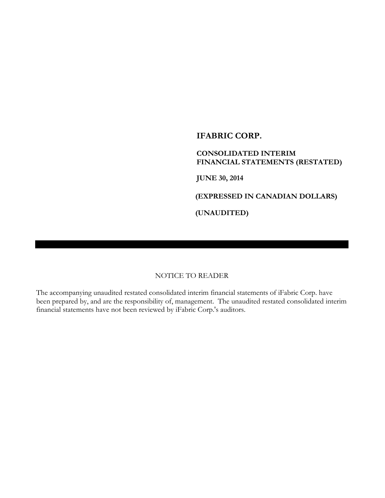# **IFABRIC CORP.**

# **CONSOLIDATED INTERIM FINANCIAL STATEMENTS (RESTATED)**

**JUNE 30, 2014**

**(EXPRESSED IN CANADIAN DOLLARS)**

**(UNAUDITED)**

## NOTICE TO READER

The accompanying unaudited restated consolidated interim financial statements of iFabric Corp. have been prepared by, and are the responsibility of, management. The unaudited restated consolidated interim financial statements have not been reviewed by iFabric Corp.'s auditors.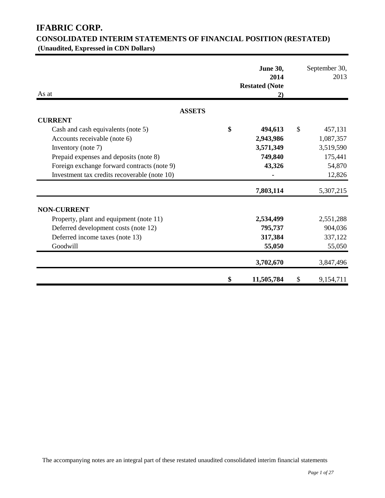# **IFABRIC CORP.**

# **CONSOLIDATED INTERIM STATEMENTS OF FINANCIAL POSITION (RESTATED) (Unaudited, Expressed in CDN Dollars)**

| As at                                        | <b>June 30,</b><br>2014<br><b>Restated (Note</b><br>2) |               | September 30,<br>2013 |
|----------------------------------------------|--------------------------------------------------------|---------------|-----------------------|
| <b>ASSETS</b>                                |                                                        |               |                       |
| <b>CURRENT</b>                               |                                                        |               |                       |
| Cash and cash equivalents (note 5)           | \$<br>494,613                                          | $\mathcal{S}$ | 457,131               |
| Accounts receivable (note 6)                 | 2,943,986                                              |               | 1,087,357             |
| Inventory (note 7)                           | 3,571,349                                              |               | 3,519,590             |
| Prepaid expenses and deposits (note 8)       | 749,840                                                |               | 175,441               |
| Foreign exchange forward contracts (note 9)  | 43,326                                                 |               | 54,870                |
| Investment tax credits recoverable (note 10) |                                                        |               | 12,826                |
|                                              | 7,803,114                                              |               | 5,307,215             |
| <b>NON-CURRENT</b>                           |                                                        |               |                       |
| Property, plant and equipment (note 11)      | 2,534,499                                              |               | 2,551,288             |
| Deferred development costs (note 12)         | 795,737                                                |               | 904,036               |
| Deferred income taxes (note 13)              | 317,384                                                |               | 337,122               |
| Goodwill                                     | 55,050                                                 |               | 55,050                |
|                                              | 3,702,670                                              |               | 3,847,496             |
|                                              | \$<br>11,505,784                                       | \$            | 9,154,711             |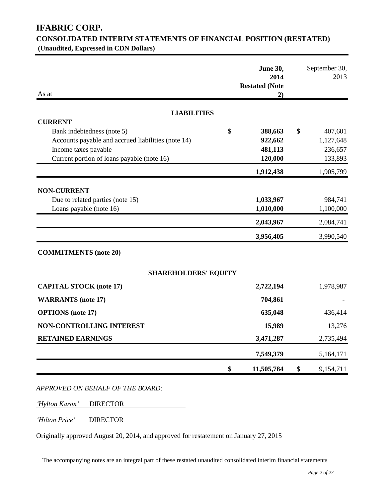# **IFABRIC CORP.**

# **CONSOLIDATED INTERIM STATEMENTS OF FINANCIAL POSITION (RESTATED) (Unaudited, Expressed in CDN Dollars)**

| As at                                              | <b>June 30,</b><br>2014<br><b>Restated (Note</b><br>2) |               | September 30,<br>2013 |
|----------------------------------------------------|--------------------------------------------------------|---------------|-----------------------|
| <b>LIABILITIES</b>                                 |                                                        |               |                       |
| <b>CURRENT</b>                                     |                                                        |               |                       |
| Bank indebtedness (note 5)                         | \$<br>388,663                                          | $\mathcal{S}$ | 407,601               |
| Accounts payable and accrued liabilities (note 14) | 922,662                                                |               | 1,127,648             |
| Income taxes payable                               | 481,113                                                |               | 236,657               |
| Current portion of loans payable (note 16)         | 120,000                                                |               | 133,893               |
|                                                    | 1,912,438                                              |               | 1,905,799             |
| <b>NON-CURRENT</b>                                 |                                                        |               |                       |
| Due to related parties (note 15)                   | 1,033,967                                              |               | 984,741               |
| Loans payable (note 16)                            | 1,010,000                                              |               | 1,100,000             |
|                                                    | 2,043,967                                              |               | 2,084,741             |
|                                                    | 3,956,405                                              |               | 3,990,540             |
| <b>COMMITMENTS</b> (note 20)                       |                                                        |               |                       |
| <b>SHAREHOLDERS' EQUITY</b>                        |                                                        |               |                       |
| <b>CAPITAL STOCK (note 17)</b>                     | 2,722,194                                              |               | 1,978,987             |
| <b>WARRANTS</b> (note 17)                          | 704,861                                                |               |                       |
| <b>OPTIONS</b> (note 17)                           | 635,048                                                |               | 436,414               |
| NON-CONTROLLING INTEREST                           | 15,989                                                 |               | 13,276                |
| <b>RETAINED EARNINGS</b>                           | 3,471,287                                              |               | 2,735,494             |
|                                                    | 7,549,379                                              |               | 5,164,171             |
|                                                    | \$<br>11,505,784                                       | $\mathcal{S}$ | 9,154,711             |

*APPROVED ON BEHALF OF THE BOARD:*

*'Hylton Karon'* DIRECTOR

*'Hilton Price'* DIRECTOR

Originally approved August 20, 2014, and approved for restatement on January 27, 2015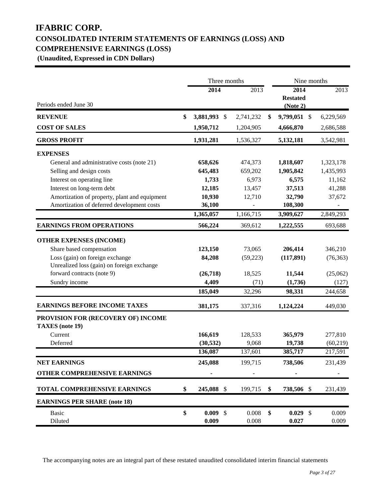# **IFABRIC CORP. CONSOLIDATED INTERIM STATEMENTS OF EARNINGS (LOSS) AND COMPREHENSIVE EARNINGS (LOSS)**

**(Unaudited, Expressed in CDN Dollars)**

|                                                              | Three months          |           | Nine months                              |           |  |
|--------------------------------------------------------------|-----------------------|-----------|------------------------------------------|-----------|--|
| Periods ended June 30                                        | 2014                  | 2013      | 2014<br><b>Restated</b><br>(Note 2)      | 2013      |  |
| <b>REVENUE</b>                                               | \$<br>3,881,993<br>\$ | 2,741,232 | \$<br>9,799,051 \$                       | 6,229,569 |  |
| <b>COST OF SALES</b>                                         | 1,950,712             | 1,204,905 | 4,666,870                                | 2,686,588 |  |
| <b>GROSS PROFIT</b>                                          | 1,931,281             | 1,536,327 | 5,132,181                                | 3,542,981 |  |
| <b>EXPENSES</b>                                              |                       |           |                                          |           |  |
| General and administrative costs (note 21)                   | 658,626               | 474,373   | 1,818,607                                | 1,323,178 |  |
| Selling and design costs                                     | 645,483               | 659,202   | 1,905,842                                | 1,435,993 |  |
| Interest on operating line                                   | 1,733                 | 6,973     | 6,575                                    | 11,162    |  |
| Interest on long-term debt                                   | 12,185                | 13,457    | 37,513                                   | 41,288    |  |
| Amortization of property, plant and equipment                | 10,930                | 12,710    | 32,790                                   | 37,672    |  |
| Amortization of deferred development costs                   | 36,100                |           | 108,300                                  |           |  |
|                                                              | 1,365,057             | 1,166,715 | 3,909,627                                | 2,849,293 |  |
| <b>EARNINGS FROM OPERATIONS</b>                              | 566,224               | 369,612   | 1,222,555                                | 693,688   |  |
| <b>OTHER EXPENSES (INCOME)</b>                               |                       |           |                                          |           |  |
| Share based compensation                                     | 123,150               | 73,065    | 206,414                                  | 346,210   |  |
| Loss (gain) on foreign exchange                              | 84,208                | (59, 223) | (117, 891)                               | (76, 363) |  |
| Unrealized loss (gain) on foreign exchange                   |                       |           |                                          |           |  |
| forward contracts (note 9)                                   | (26,718)              | 18,525    | 11,544                                   | (25,062)  |  |
| Sundry income                                                | 4,409                 | (71)      | (1,736)                                  | (127)     |  |
|                                                              | 185,049               | 32,296    | 98,331                                   | 244,658   |  |
| <b>EARNINGS BEFORE INCOME TAXES</b>                          | 381,175               | 337,316   | 1,124,224                                | 449,030   |  |
| PROVISION FOR (RECOVERY OF) INCOME<br><b>TAXES</b> (note 19) |                       |           |                                          |           |  |
| Current                                                      | 166,619               | 128,533   | 365,979                                  | 277,810   |  |
| Deferred                                                     | (30, 532)             | 9,068     | 19,738                                   | (60, 219) |  |
|                                                              | 136,087               | 137,601   | 385,717                                  | 217,591   |  |
| <b>NET EARNINGS</b>                                          | 245,088               | 199,715   | 738,506                                  | 231,439   |  |
| OTHER COMPREHENSIVE EARNINGS                                 |                       |           |                                          |           |  |
| TOTAL COMPREHENSIVE EARNINGS                                 | \$<br>245,088 \$      | 199,715   | \$<br>738,506 \$                         | 231,439   |  |
| <b>EARNINGS PER SHARE (note 18)</b>                          |                       |           |                                          |           |  |
| <b>Basic</b>                                                 | \$<br>0.009<br>\$     | 0.008     | \$<br>0.029<br>$\boldsymbol{\mathsf{S}}$ | 0.009     |  |
| Diluted                                                      | 0.009                 | 0.008     | 0.027                                    | 0.009     |  |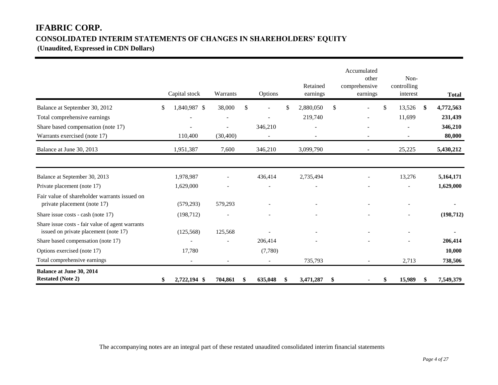# **IFABRIC CORP. CONSOLIDATED INTERIM STATEMENTS OF CHANGES IN SHAREHOLDERS' EQUITY**

**(Unaudited, Expressed in CDN Dollars)** 

|                                                                                           | Capital stock            | Warrants       | Options                  |    | Retained<br>earnings | Accumulated<br>other<br>comprehensive<br>earnings | Non-<br>controlling<br>interest |     | <b>Total</b> |
|-------------------------------------------------------------------------------------------|--------------------------|----------------|--------------------------|----|----------------------|---------------------------------------------------|---------------------------------|-----|--------------|
| Balance at September 30, 2012                                                             | \$<br>1,840,987 \$       | 38,000         | \$                       | \$ | 2,880,050            | \$                                                | \$<br>13,526                    | -SS | 4,772,563    |
| Total comprehensive earnings                                                              |                          | $\overline{a}$ |                          |    | 219,740              |                                                   | 11,699                          |     | 231,439      |
| Share based compensation (note 17)                                                        |                          |                | 346,210                  |    |                      |                                                   |                                 |     | 346,210      |
| Warrants exercised (note 17)                                                              | 110,400                  | (30, 400)      | $\overline{\phantom{a}}$ |    |                      |                                                   |                                 |     | 80,000       |
| Balance at June 30, 2013                                                                  | 1,951,387                | 7,600          | 346,210                  |    | 3,099,790            |                                                   | 25,225                          |     | 5,430,212    |
| Balance at September 30, 2013                                                             | 1,978,987                |                | 436,414                  |    | 2,735,494            |                                                   | 13,276                          |     | 5,164,171    |
| Private placement (note 17)                                                               | 1,629,000                |                |                          |    |                      |                                                   |                                 |     | 1,629,000    |
| Fair value of shareholder warrants issued on<br>private placement (note 17)               | (579, 293)               | 579,293        |                          |    |                      |                                                   |                                 |     |              |
| Share issue costs - cash (note 17)                                                        | (198, 712)               |                |                          |    |                      |                                                   |                                 |     | (198, 712)   |
| Share issue costs - fair value of agent warrants<br>issued on private placement (note 17) | (125, 568)               | 125,568        |                          |    |                      |                                                   |                                 |     |              |
| Share based compensation (note 17)                                                        |                          |                | 206,414                  |    |                      |                                                   |                                 |     | 206,414      |
| Options exercised (note 17)                                                               | 17,780                   |                | (7,780)                  |    |                      |                                                   |                                 |     | 10,000       |
| Total comprehensive earnings                                                              | $\overline{\phantom{a}}$ |                |                          |    | 735,793              | $\overline{\phantom{a}}$                          | 2,713                           |     | 738,506      |
| <b>Balance at June 30, 2014</b><br><b>Restated (Note 2)</b>                               | \$<br>2,722,194 \$       | 704,861        | \$<br>635,048            | -S | 3,471,287            | \$                                                | \$<br>15,989                    | S   | 7,549,379    |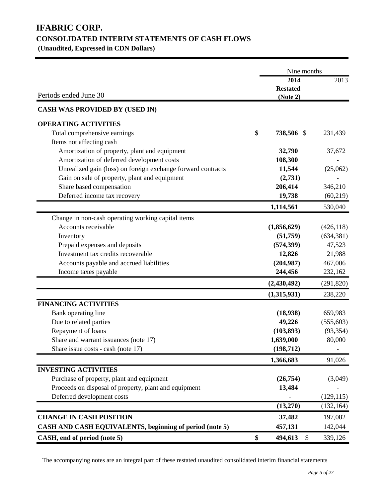# **IFABRIC CORP. CONSOLIDATED INTERIM STATEMENTS OF CASH FLOWS**

**(Unaudited, Expressed in CDN Dollars)** 

|                                                              | Nine months                         |            |
|--------------------------------------------------------------|-------------------------------------|------------|
| Periods ended June 30                                        | 2014<br><b>Restated</b><br>(Note 2) | 2013       |
| <b>CASH WAS PROVIDED BY (USED IN)</b>                        |                                     |            |
| <b>OPERATING ACTIVITIES</b>                                  |                                     |            |
| Total comprehensive earnings                                 | \$<br>738,506 \$                    | 231,439    |
| Items not affecting cash                                     |                                     |            |
| Amortization of property, plant and equipment                | 32,790                              | 37,672     |
| Amortization of deferred development costs                   | 108,300                             |            |
| Unrealized gain (loss) on foreign exchange forward contracts | 11,544                              | (25,062)   |
| Gain on sale of property, plant and equipment                | (2,731)                             |            |
| Share based compensation                                     | 206,414                             | 346,210    |
| Deferred income tax recovery                                 | 19,738                              | (60, 219)  |
|                                                              | 1,114,561                           | 530,040    |
| Change in non-cash operating working capital items           |                                     |            |
| Accounts receivable                                          | (1,856,629)                         | (426, 118) |
| Inventory                                                    | (51,759)                            | (634, 381) |
| Prepaid expenses and deposits                                | (574, 399)                          | 47,523     |
| Investment tax credits recoverable                           | 12,826                              | 21,988     |
| Accounts payable and accrued liabilities                     | (204, 987)                          | 467,006    |
| Income taxes payable                                         | 244,456                             | 232,162    |
|                                                              | (2,430,492)                         | (291, 820) |
|                                                              | (1,315,931)                         | 238,220    |
| <b>FINANCING ACTIVITIES</b>                                  |                                     |            |
| Bank operating line                                          | (18,938)                            | 659,983    |
| Due to related parties                                       | 49,226                              | (555, 603) |
| Repayment of loans                                           | (103, 893)                          | (93, 354)  |
| Share and warrant issuances (note 17)                        | 1,639,000                           | 80,000     |
| Share issue costs - cash (note 17)                           | (198, 712)                          |            |
|                                                              | 1,366,683                           | 91,026     |
| <b>INVESTING ACTIVITIES</b>                                  |                                     |            |
| Purchase of property, plant and equipment                    | (26,754)                            | (3,049)    |
| Proceeds on disposal of property, plant and equipment        | 13,484                              |            |
| Deferred development costs                                   |                                     | (129, 115) |
|                                                              | (13,270)                            | (132, 164) |
| <b>CHANGE IN CASH POSITION</b>                               | 37,482                              | 197,082    |
| CASH AND CASH EQUIVALENTS, beginning of period (note 5)      | 457,131                             | 142,044    |
| CASH, end of period (note 5)                                 | \$<br>494,613<br>\$                 | 339,126    |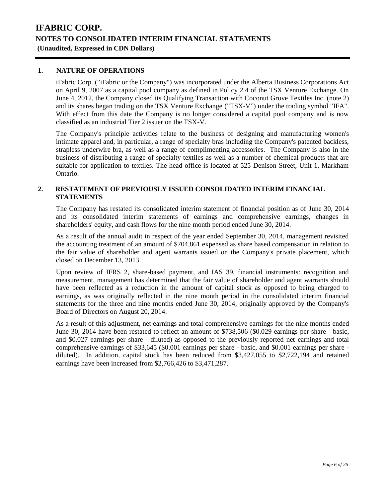### **1. NATURE OF OPERATIONS**

iFabric Corp. ("iFabric or the Company") was incorporated under the Alberta Business Corporations Act on April 9, 2007 as a capital pool company as defined in Policy 2.4 of the TSX Venture Exchange. On June 4, 2012, the Company closed its Qualifying Transaction with Coconut Grove Textiles Inc. (note 2) and its shares began trading on the TSX Venture Exchange ("TSX-V") under the trading symbol "IFA". With effect from this date the Company is no longer considered a capital pool company and is now classified as an industrial Tier 2 issuer on the TSX-V.

The Company's principle activities relate to the business of designing and manufacturing women's intimate apparel and, in particular, a range of specialty bras including the Company's patented backless, strapless underwire bra, as well as a range of complimenting accessories. The Company is also in the business of distributing a range of specialty textiles as well as a number of chemical products that are suitable for application to textiles. The head office is located at 525 Denison Street, Unit 1, Markham Ontario.

### **2. RESTATEMENT OF PREVIOUSLY ISSUED CONSOLIDATED INTERIM FINANCIAL STATEMENTS**

The Company has restated its consolidated interim statement of financial position as of June 30, 2014 and its consolidated interim statements of earnings and comprehensive earnings, changes in shareholders' equity, and cash flows for the nine month period ended June 30, 2014.

As a result of the annual audit in respect of the year ended September 30, 2014, management revisited the accounting treatment of an amount of \$704,861 expensed as share based compensation in relation to the fair value of shareholder and agent warrants issued on the Company's private placement, which closed on December 13, 2013.

Upon review of IFRS 2, share-based payment, and IAS 39, financial instruments: recognition and measurement, management has determined that the fair value of shareholder and agent warrants should have been reflected as a reduction in the amount of capital stock as opposed to being charged to earnings, as was originally reflected in the nine month period in the consolidated interim financial statements for the three and nine months ended June 30, 2014, originally approved by the Company's Board of Directors on August 20, 2014.

As a result of this adjustment, net earnings and total comprehensive earnings for the nine months ended June 30, 2014 have been restated to reflect an amount of \$738,506 (\$0.029 earnings per share - basic, and \$0.027 earnings per share - diluted) as opposed to the previously reported net earnings and total comprehensive earnings of \$33,645 (\$0.001 earnings per share - basic, and \$0.001 earnings per share diluted). In addition, capital stock has been reduced from \$3,427,055 to \$2,722,194 and retained earnings have been increased from \$2,766,426 to \$3,471,287.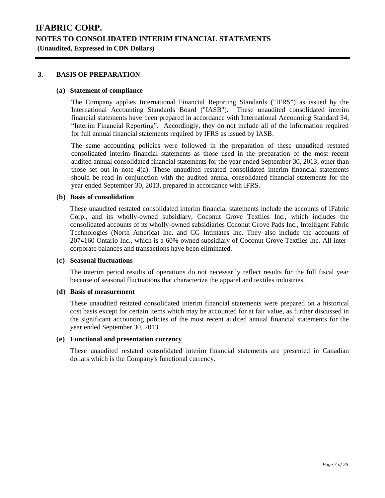### **3. BASIS OF PREPARATION**

### **(a) Statement of compliance**

The Company applies International Financial Reporting Standards ("IFRS") as issued by the International Accounting Standards Board ("IASB"). These unaudited consolidated interim financial statements have been prepared in accordance with International Accounting Standard 34, "Interim Financial Reporting". Accordingly, they do not include all of the information required for full annual financial statements required by IFRS as issued by IASB.

The same accounting policies were followed in the preparation of these unaudited restated consolidated interim financial statements as those used in the preparation of the most recent audited annual consolidated financial statements for the year ended September 30, 2013, other than those set out in note 4(a). These unaudited restated consolidated interim financial statements should be read in conjunction with the audited annual consolidated financial statements for the year ended September 30, 2013, prepared in accordance with IFRS.

### **(b) Basis of consolidation**

These unaudited restated consolidated interim financial statements include the accounts of iFabric Corp., and its wholly-owned subsidiary, Coconut Grove Textiles Inc., which includes the consolidated accounts of its wholly-owned subsidiaries Coconut Grove Pads Inc., Intelligent Fabric Technologies (North America) Inc. and CG Intimates Inc. They also include the accounts of 2074160 Ontario Inc., which is a 60% owned subsidiary of Coconut Grove Textiles Inc. All intercorporate balances and transactions have been eliminated.

#### **(c) Seasonal fluctuations**

The interim period results of operations do not necessarily reflect results for the full fiscal year because of seasonal fluctuations that characterize the apparel and textiles industries.

#### **(d) Basis of measurement**

These unaudited restated consolidated interim financial statements were prepared on a historical cost basis except for certain items which may be accounted for at fair value, as further discussed in the significant accounting policies of the most recent audited annual financial statements for the year ended September 30, 2013.

### **(e) Functional and presentation currency**

These unaudited restated consolidated interim financial statements are presented in Canadian dollars which is the Company's functional currency.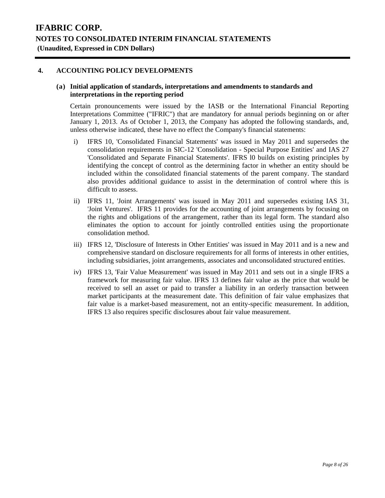### **4. ACCOUNTING POLICY DEVELOPMENTS**

### **(a) Initial application of standards, interpretations and amendments to standards and interpretations in the reporting period**

Certain pronouncements were issued by the IASB or the International Financial Reporting Interpretations Committee ("IFRIC") that are mandatory for annual periods beginning on or after January 1, 2013. As of October 1, 2013, the Company has adopted the following standards, and, unless otherwise indicated, these have no effect the Company's financial statements:

- i) IFRS 10, 'Consolidated Financial Statements' was issued in May 2011 and supersedes the consolidation requirements in SIC-12 'Consolidation - Special Purpose Entities' and IAS 27 'Consolidated and Separate Financial Statements'. IFRS l0 builds on existing principles by identifying the concept of control as the determining factor in whether an entity should be included within the consolidated financial statements of the parent company. The standard also provides additional guidance to assist in the determination of control where this is difficult to assess.
- ii) IFRS 11, 'Joint Arrangements' was issued in May 2011 and supersedes existing IAS 31, 'Joint Ventures'. IFRS 11 provides for the accounting of joint arrangements by focusing on the rights and obligations of the arrangement, rather than its legal form. The standard also eliminates the option to account for jointly controlled entities using the proportionate consolidation method.
- iii) IFRS 12, 'Disclosure of Interests in Other Entities' was issued in May 2011 and is a new and comprehensive standard on disclosure requirements for all forms of interests in other entities, including subsidiaries, joint arrangements, associates and unconsolidated structured entities.
- iv) IFRS 13, 'Fair Value Measurement' was issued in May 2011 and sets out in a single IFRS a framework for measuring fair value. IFRS 13 defines fair value as the price that would be received to sell an asset or paid to transfer a liability in an orderly transaction between market participants at the measurement date. This definition of fair value emphasizes that fair value is a market-based measurement, not an entity-specific measurement. In addition, IFRS 13 also requires specific disclosures about fair value measurement.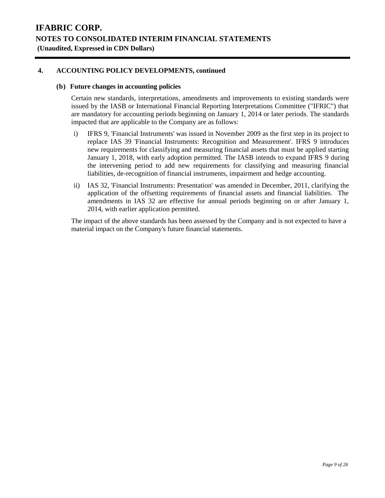## **4. ACCOUNTING POLICY DEVELOPMENTS, continued**

### **(b) Future changes in accounting policies**

Certain new standards, interpretations, amendments and improvements to existing standards were issued by the IASB or International Financial Reporting Interpretations Committee ("IFRIC") that are mandatory for accounting periods beginning on January 1, 2014 or later periods. The standards impacted that are applicable to the Company are as follows:

- i) IFRS 9, 'Financial Instruments' was issued in November 2009 as the first step in its project to replace IAS 39 'Financial Instruments: Recognition and Measurement'. IFRS 9 introduces new requirements for classifying and measuring financial assets that must be applied starting January 1, 2018, with early adoption permitted. The IASB intends to expand IFRS 9 during the intervening period to add new requirements for classifying and measuring financial liabilities, de-recognition of financial instruments, impairment and hedge accounting.
- ii) IAS 32, 'Financial Instruments: Presentation' was amended in December, 2011, clarifying the application of the offsetting requirements of financial assets and financial liabilities. The amendments in IAS 32 are effective for annual periods beginning on or after January 1, 2014, with earlier application permitted.

The impact of the above standards has been assessed by the Company and is not expected to have a material impact on the Company's future financial statements.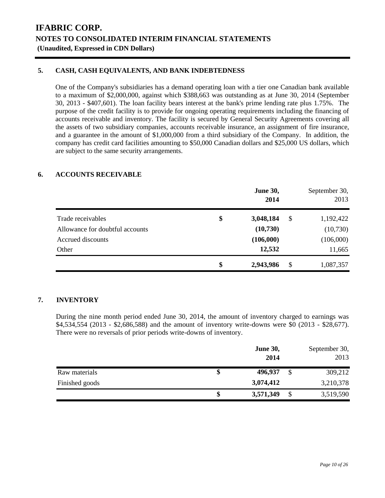## **5. CASH, CASH EQUIVALENTS, AND BANK INDEBTEDNESS**

One of the Company's subsidiaries has a demand operating loan with a tier one Canadian bank available to a maximum of \$2,000,000, against which \$388,663 was outstanding as at June 30, 2014 (September 30, 2013 - \$407,601). The loan facility bears interest at the bank's prime lending rate plus 1.75%. The purpose of the credit facility is to provide for ongoing operating requirements including the financing of accounts receivable and inventory. The facility is secured by General Security Agreements covering all the assets of two subsidiary companies, accounts receivable insurance, an assignment of fire insurance, and a guarantee in the amount of \$1,000,000 from a third subsidiary of the Company. In addition, the company has credit card facilities amounting to \$50,000 Canadian dollars and \$25,000 US dollars, which are subject to the same security arrangements.

## **6. ACCOUNTS RECEIVABLE**

|                                 | <b>June 30,</b><br>2014 | September 30,<br>2013 |
|---------------------------------|-------------------------|-----------------------|
| Trade receivables               | \$<br>3,048,184         | \$<br>1,192,422       |
| Allowance for doubtful accounts | (10,730)                | (10,730)              |
| Accrued discounts               | (106,000)               | (106,000)             |
| Other                           | 12,532                  | 11,665                |
|                                 | \$<br>2,943,986         | \$<br>1,087,357       |

### **7. INVENTORY**

During the nine month period ended June 30, 2014, the amount of inventory charged to earnings was \$4,534,554 (2013 - \$2,686,588) and the amount of inventory write-downs were \$0 (2013 - \$28,677). There were no reversals of prior periods write-downs of inventory.

|                | <b>June 30,</b><br>2014 |   | September 30,<br>2013 |
|----------------|-------------------------|---|-----------------------|
| Raw materials  | 496,937                 | S | 309,212               |
| Finished goods | 3,074,412               |   | 3,210,378             |
|                | 3,571,349               | S | 3,519,590             |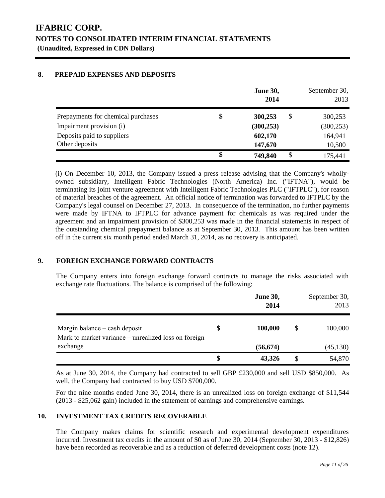## **8. PREPAID EXPENSES AND DEPOSITS**

|                                    | <b>June 30,</b><br>2014 | September 30,<br>2013 |
|------------------------------------|-------------------------|-----------------------|
| Prepayments for chemical purchases | \$<br>\$<br>300,253     | 300,253               |
| Impairment provision (i)           | (300, 253)              | (300, 253)            |
| Deposits paid to suppliers         | 602,170                 | 164,941               |
| Other deposits                     | 147,670                 | 10,500                |
|                                    | \$<br>\$<br>749,840     | 175,441               |

(i) On December 10, 2013, the Company issued a press release advising that the Company's whollyowned subsidiary, Intelligent Fabric Technologies (North America) Inc. ("IFTNA"), would be terminating its joint venture agreement with Intelligent Fabric Technologies PLC ("IFTPLC"), for reason of material breaches of the agreement. An official notice of termination was forwarded to IFTPLC by the Company's legal counsel on December 27, 2013. In consequence of the termination, no further payments were made by IFTNA to IFTPLC for advance payment for chemicals as was required under the agreement and an impairment provision of \$300,253 was made in the financial statements in respect of the outstanding chemical prepayment balance as at September 30, 2013. This amount has been written off in the current six month period ended March 31, 2014, as no recovery is anticipated.

## **9. FOREIGN EXCHANGE FORWARD CONTRACTS**

The Company enters into foreign exchange forward contracts to manage the risks associated with exchange rate fluctuations. The balance is comprised of the following:

|                                                                                   | <b>June 30,</b><br>2014 |   | September 30,<br>2013 |
|-----------------------------------------------------------------------------------|-------------------------|---|-----------------------|
| Margin balance $-\cosh d$<br>Mark to market variance – unrealized loss on foreign | 100,000                 | S | 100,000               |
| exchange                                                                          | (56, 674)               |   | (45, 130)             |
|                                                                                   | \$<br>43,326            |   | 54,870                |

As at June 30, 2014, the Company had contracted to sell GBP £230,000 and sell USD \$850,000. As well, the Company had contracted to buy USD \$700,000.

For the nine months ended June 30, 2014, there is an unrealized loss on foreign exchange of \$11,544 (2013 - \$25,062 gain) included in the statement of earnings and comprehensive earnings.

## **10. INVESTMENT TAX CREDITS RECOVERABLE**

The Company makes claims for scientific research and experimental development expenditures incurred. Investment tax credits in the amount of \$0 as of June 30, 2014 (September 30, 2013 - \$12,826) have been recorded as recoverable and as a reduction of deferred development costs (note 12).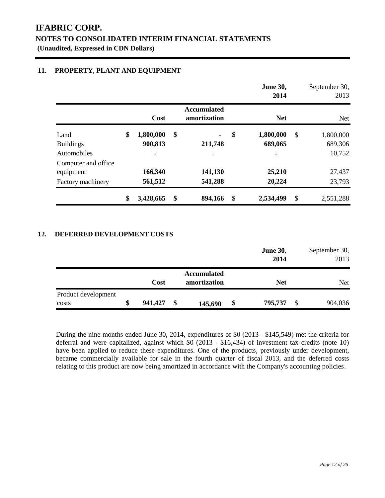## **11. PROPERTY, PLANT AND EQUIPMENT**

|                                    |                            |                                    | <b>June 30,</b><br>2014    |               | September 30,<br>2013 |
|------------------------------------|----------------------------|------------------------------------|----------------------------|---------------|-----------------------|
|                                    | <b>Cost</b>                | <b>Accumulated</b><br>amortization | <b>Net</b>                 |               | <b>Net</b>            |
| Land<br><b>Buildings</b>           | \$<br>1,800,000<br>900,813 | \$<br>211,748                      | \$<br>1,800,000<br>689,065 | $\mathcal{S}$ | 1,800,000<br>689,306  |
| Automobiles<br>Computer and office |                            |                                    |                            |               | 10,752                |
| equipment                          | 166,340                    | 141,130                            | 25,210                     |               | 27,437                |
| Factory machinery                  | 561,512                    | 541,288                            | 20,224                     |               | 23,793                |
|                                    | \$<br>3,428,665            | \$<br>894,166                      | \$<br>2,534,499            | \$            | 2,551,288             |

### **12. DEFERRED DEVELOPMENT COSTS**

|                     |               |                    | <b>June 30,</b> | September 30, |
|---------------------|---------------|--------------------|-----------------|---------------|
|                     |               |                    | 2014            | 2013          |
|                     |               | <b>Accumulated</b> |                 |               |
|                     | Cost          | amortization       | <b>Net</b>      | Net           |
| Product development |               |                    |                 |               |
| costs               | \$<br>941,427 | \$<br>145,690      | \$<br>795,737   | \$<br>904,036 |

During the nine months ended June 30, 2014, expenditures of \$0 (2013 - \$145,549) met the criteria for deferral and were capitalized, against which  $\frac{60}{2013}$  - \$16,434) of investment tax credits (note 10) have been applied to reduce these expenditures. One of the products, previously under development, became commercially available for sale in the fourth quarter of fiscal 2013, and the deferred costs relating to this product are now being amortized in accordance with the Company's accounting policies.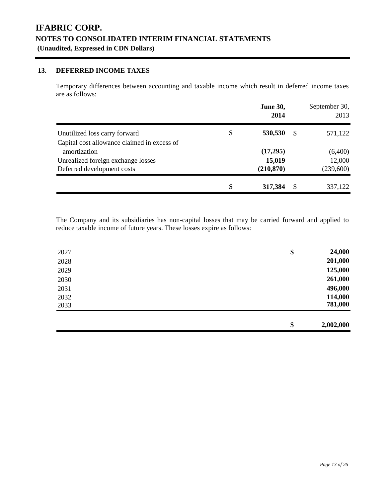## **13. DEFERRED INCOME TAXES**

Temporary differences between accounting and taxable income which result in deferred income taxes are as follows:

|                                             | <b>June 30,</b><br>2014 |               | September 30,<br>2013 |
|---------------------------------------------|-------------------------|---------------|-----------------------|
| Unutilized loss carry forward               | \$<br>530,530           | -S            | 571,122               |
| Capital cost allowance claimed in excess of |                         |               |                       |
| amortization                                | (17,295)                |               | (6,400)               |
| Unrealized foreign exchange losses          | 15,019                  |               | 12,000                |
| Deferred development costs                  | (210, 870)              |               | (239,600)             |
|                                             | \$<br>317,384           | <sup>\$</sup> | 337,122               |

The Company and its subsidiaries has non-capital losses that may be carried forward and applied to reduce taxable income of future years. These losses expire as follows:

| 2027 | \$<br>24,000    |
|------|-----------------|
| 2028 | 201,000         |
| 2029 | 125,000         |
| 2030 | 261,000         |
| 2031 | 496,000         |
| 2032 | 114,000         |
| 2033 | 781,000         |
|      |                 |
|      | \$<br>2,002,000 |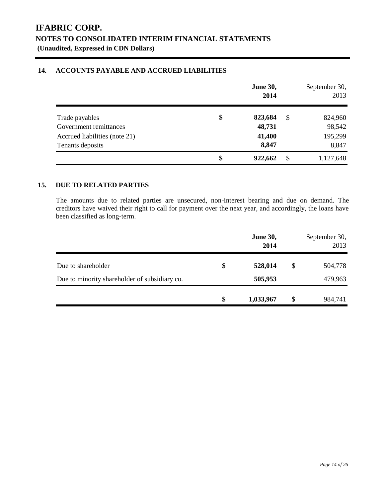### **14. ACCOUNTS PAYABLE AND ACCRUED LIABILITIES**

|                               | <b>June 30,</b><br>2014 |    | September 30,<br>2013 |
|-------------------------------|-------------------------|----|-----------------------|
| Trade payables                | \$<br>823,684           | \$ | 824,960               |
| Government remittances        | 48,731                  |    | 98,542                |
| Accrued liabilities (note 21) | 41,400                  |    | 195,299               |
| Tenants deposits              | 8,847                   |    | 8,847                 |
|                               | \$<br>922,662           | S  | 1,127,648             |

## **15. DUE TO RELATED PARTIES**

The amounts due to related parties are unsecured, non-interest bearing and due on demand. The creditors have waived their right to call for payment over the next year, and accordingly, the loans have been classified as long-term.

|                                               | <b>June 30,</b><br>2014 | September 30,<br>2013 |
|-----------------------------------------------|-------------------------|-----------------------|
| Due to shareholder                            | \$<br>528,014           | \$<br>504,778         |
| Due to minority shareholder of subsidiary co. | 505,953                 | 479,963               |
|                                               | \$<br>1,033,967         | \$<br>984,741         |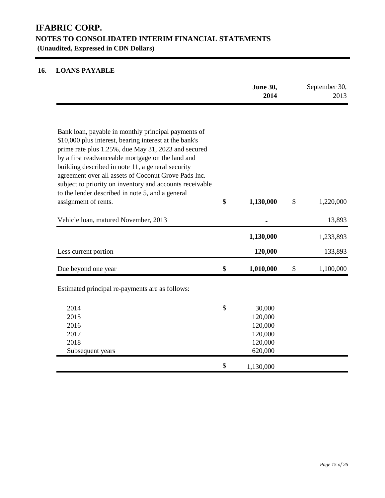# **16. LOANS PAYABLE**

|                                                                                                                                                                                                                                                                                   | June 30,<br>2014 | September 30,<br>2013 |
|-----------------------------------------------------------------------------------------------------------------------------------------------------------------------------------------------------------------------------------------------------------------------------------|------------------|-----------------------|
| Bank loan, payable in monthly principal payments of<br>\$10,000 plus interest, bearing interest at the bank's                                                                                                                                                                     |                  |                       |
| prime rate plus 1.25%, due May 31, 2023 and secured<br>by a first readvanceable mortgage on the land and<br>building described in note 11, a general security<br>agreement over all assets of Coconut Grove Pads Inc.<br>subject to priority on inventory and accounts receivable |                  |                       |
| to the lender described in note 5, and a general<br>assignment of rents.                                                                                                                                                                                                          | \$<br>1,130,000  | \$<br>1,220,000       |
| Vehicle loan, matured November, 2013                                                                                                                                                                                                                                              |                  | 13,893                |
|                                                                                                                                                                                                                                                                                   | 1,130,000        | 1,233,893             |
| Less current portion                                                                                                                                                                                                                                                              | 120,000          | 133,893               |
| Due beyond one year                                                                                                                                                                                                                                                               | \$<br>1,010,000  | \$<br>1,100,000       |
| Estimated principal re-payments are as follows:                                                                                                                                                                                                                                   |                  |                       |
| 2014                                                                                                                                                                                                                                                                              | \$<br>30,000     |                       |
| 2015                                                                                                                                                                                                                                                                              | 120,000          |                       |
| 2016                                                                                                                                                                                                                                                                              | 120,000          |                       |
| 2017                                                                                                                                                                                                                                                                              | 120,000          |                       |
| 2018                                                                                                                                                                                                                                                                              | 120,000          |                       |
| Subsequent years                                                                                                                                                                                                                                                                  | 620,000          |                       |
|                                                                                                                                                                                                                                                                                   | \$<br>1,130,000  |                       |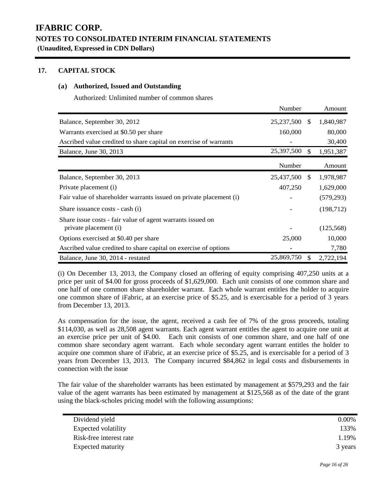## **17. CAPITAL STOCK**

### **(a) Authorized, Issued and Outstanding**

Authorized: Unlimited number of common shares

|                                                                                     | Number       |               | Amount     |
|-------------------------------------------------------------------------------------|--------------|---------------|------------|
| Balance, September 30, 2012                                                         | 25, 237, 500 | <sup>\$</sup> | 1,840,987  |
| Warrants exercised at \$0.50 per share                                              | 160,000      |               | 80,000     |
| Ascribed value credited to share capital on exercise of warrants                    |              |               | 30,400     |
| Balance, June 30, 2013                                                              | 25,397,500   | \$.           | 1,951,387  |
|                                                                                     | Number       |               | Amount     |
| Balance, September 30, 2013                                                         | 25,437,500   | <sup>\$</sup> | 1,978,987  |
| Private placement (i)                                                               | 407,250      |               | 1,629,000  |
| Fair value of shareholder warrants issued on private placement (i)                  |              |               | (579, 293) |
| Share issuance costs - cash (i)                                                     |              |               | (198, 712) |
| Share issue costs - fair value of agent warrants issued on<br>private placement (i) |              |               | (125, 568) |
| Options exercised at \$0.40 per share                                               | 25,000       |               | 10,000     |
| Ascribed value credited to share capital on exercise of options                     |              |               | 7,780      |
| Balance, June 30, 2014 - restated                                                   | 25,869,750   |               | 2,722,194  |

(i) On December 13, 2013, the Company closed an offering of equity comprising 407,250 units at a price per unit of \$4.00 for gross proceeds of \$1,629,000. Each unit consists of one common share and one half of one common share shareholder warrant. Each whole warrant entitles the holder to acquire one common share of iFabric, at an exercise price of \$5.25, and is exercisable for a period of 3 years from December 13, 2013.

As compensation for the issue, the agent, received a cash fee of 7% of the gross proceeds, totaling \$114,030, as well as 28,508 agent warrants. Each agent warrant entitles the agent to acquire one unit at an exercise price per unit of \$4.00. Each unit consists of one common share, and one half of one common share secondary agent warrant. Each whole secondary agent warrant entitles the holder to acquire one common share of iFabric, at an exercise price of \$5.25, and is exercisable for a period of 3 years from December 13, 2013. The Company incurred \$84,862 in legal costs and disbursements in connection with the issue

The fair value of the shareholder warrants has been estimated by management at \$579,293 and the fair value of the agent warrants has been estimated by management at \$125,568 as of the date of the grant using the black-scholes pricing model with the following assumptions:

| Dividend yield           | $0.00\%$ |
|--------------------------|----------|
| Expected volatility      | 133%     |
| Risk-free interest rate  | 1.19%    |
| <b>Expected maturity</b> | 3 years  |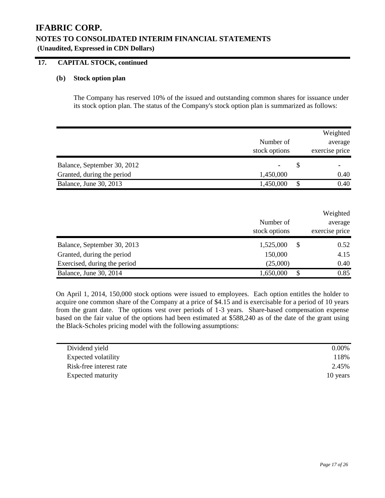### **17. CAPITAL STOCK, continued**

### **(b) Stock option plan**

The Company has reserved 10% of the issued and outstanding common shares for issuance under its stock option plan. The status of the Company's stock option plan is summarized as follows:

|                                                           | Number of<br>stock options | Weighted<br>average<br>exercise price |
|-----------------------------------------------------------|----------------------------|---------------------------------------|
| Balance, September 30, 2012<br>Granted, during the period | 1,450,000                  | \$<br>0.40                            |
| Balance, June 30, 2013                                    | 1,450,000                  | \$<br>0.40                            |
|                                                           | Number of<br>stock options | Weighted<br>average<br>exercise price |
| Balance, September 30, 2013<br>Granted, during the period | 1,525,000<br>150,000       | \$<br>0.52<br>4.15                    |

On April 1, 2014, 150,000 stock options were issued to employees. Each option entitles the holder to acquire one common share of the Company at a price of \$4.15 and is exercisable for a period of 10 years from the grant date. The options vest over periods of 1-3 years. Share-based compensation expense based on the fair value of the options had been estimated at \$588,240 as of the date of the grant using the Black-Scholes pricing model with the following assumptions:

Exercised, during the period  $(25,000)$   $0.40$ Balance, June 30, 2014 1,650,000 \$ 0.85

| Dividend yield          | $0.00\%$ |
|-------------------------|----------|
| Expected volatility     | 118%     |
| Risk-free interest rate | 2.45%    |
| Expected maturity       | 10 years |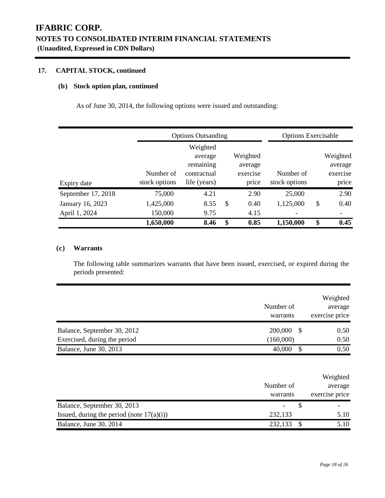# **17. CAPITAL STOCK, continued**

### **(b) Stock option plan, continued**

As of June 30, 2014, the following options were issued and outstanding:

|                    |                            | <b>Options Outsanding</b>                                       |    |                                          | <b>Options Exercisable</b> |    |                                          |
|--------------------|----------------------------|-----------------------------------------------------------------|----|------------------------------------------|----------------------------|----|------------------------------------------|
| Expiry date        | Number of<br>stock options | Weighted<br>average<br>remaining<br>contractual<br>life (years) |    | Weighted<br>average<br>exercise<br>price | Number of<br>stock options |    | Weighted<br>average<br>exercise<br>price |
| September 17, 2018 | 75,000                     | 4.21                                                            |    | 2.90                                     | 25,000                     |    | 2.90                                     |
| January 16, 2023   | 1,425,000                  | 8.55                                                            | \$ | 0.40                                     | 1,125,000                  | \$ | 0.40                                     |
| April 1, 2024      | 150,000                    | 9.75                                                            |    | 4.15                                     |                            |    |                                          |
|                    | 1,650,000                  | 8.46                                                            | \$ | 0.85                                     | 1,150,000                  | \$ | 0.45                                     |

### **(c) Warrants**

The following table summarizes warrants that have been issued, exercised, or expired during the periods presented:

|                                                             | Number of<br>warrants      | Weighted<br>average<br>exercise price |
|-------------------------------------------------------------|----------------------------|---------------------------------------|
| Balance, September 30, 2012<br>Exercised, during the period | 200,000<br>\$<br>(160,000) | 0.50<br>0.50                          |
| Balance, June 30, 2013                                      | \$<br>40,000               | 0.50                                  |
|                                                             | Number of<br>warrants      | Weighted<br>average<br>exercise price |
| Balance, September 30, 2013                                 | \$                         |                                       |
| Issued, during the period (note $17(a)(i)$ )                | 232,133                    | 5.10                                  |
| Balance, June 30, 2014                                      | \$<br>232,133              | 5.10                                  |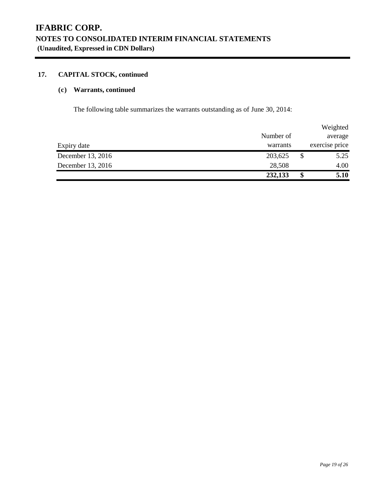# **17. CAPITAL STOCK, continued**

## **(c) Warrants, continued**

The following table summarizes the warrants outstanding as of June 30, 2014:

|                   |           |    | Weighted       |
|-------------------|-----------|----|----------------|
|                   | Number of |    | average        |
| Expiry date       | warrants  |    | exercise price |
| December 13, 2016 | 203,625   | S  | 5.25           |
| December 13, 2016 | 28,508    |    | 4.00           |
|                   | 232,133   | \$ | 5.10           |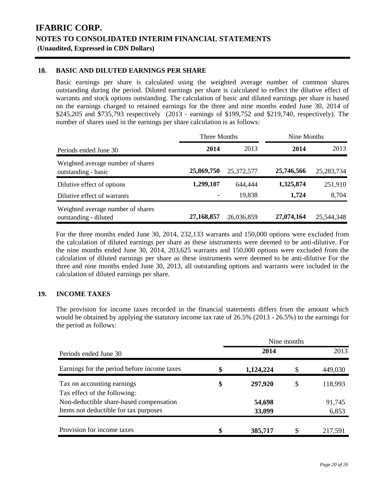## **18. BASIC AND DILUTED EARNINGS PER SHARE**

Basic earnings per share is calculated using the weighted average number of common shares outstanding during the period. Diluted earnings per share is calculated to reflect the dilutive effect of warrants and stock options outstanding. The calculation of basic and diluted earnings per share is based on the earnings charged to retained earnings for the three and nine months ended June 30, 2014 of \$245,205 and \$735,793 respectively (2013 - earnings of \$199,752 and \$219,740, respectively). The number of shares used in the earnings per share calculation is as follows:

|                                                            | Three Months                |                   | Nine Months        |                  |  |
|------------------------------------------------------------|-----------------------------|-------------------|--------------------|------------------|--|
| Periods ended June 30                                      | 2014                        | 2013              | 2014               | 2013             |  |
| Weighted average number of shares<br>outstanding - basic   | 25,869,750                  | 25,372,577        | 25,746,566         | 25,283,734       |  |
| Dilutive effect of options<br>Dilutive effect of warrants  | 1,299,107<br>$\blacksquare$ | 644,444<br>19.838 | 1,325,874<br>1.724 | 251,910<br>8,704 |  |
| Weighted average number of shares<br>outstanding - diluted | 27,168,857                  | 26,036,859        | 27,074,164         | 25,544,348       |  |

For the three months ended June 30, 2014, 232,133 warrants and 150,000 options were excluded from the calculation of diluted earnings per share as these instruments were deemed to be anti-dilutive. For the nine months ended June 30, 2014, 203,625 warrants and 150,000 options were excluded from the calculation of diluted earnings per share as these instruments were deemed to be anti-dilutive For the three and nine months ended June 30, 2013, all outstanding options and warrants were included in the calculation of diluted earnings per share.

### **19. INCOME TAXES**

The provision for income taxes recorded in the financial statements differs from the amount which would be obtained by applying the statutory income tax rate of 26.5% (2013 - 26.5%) to the earnings for the period as follows:

|                                                                                  | Nine months      |    |                 |
|----------------------------------------------------------------------------------|------------------|----|-----------------|
| Periods ended June 30                                                            | 2014             |    | 2013            |
| Earnings for the period before income taxes                                      | \$<br>1,124,224  |    | 449,030         |
| Tax on accounting earnings<br>Tax effect of the following:                       | \$<br>297,920    | \$ | 118,993         |
| Non-deductible share-based compensation<br>Items not deductible for tax purposes | 54,698<br>33,099 |    | 91,745<br>6,853 |
| Provision for income taxes                                                       | \$<br>385,717    |    | 217,591         |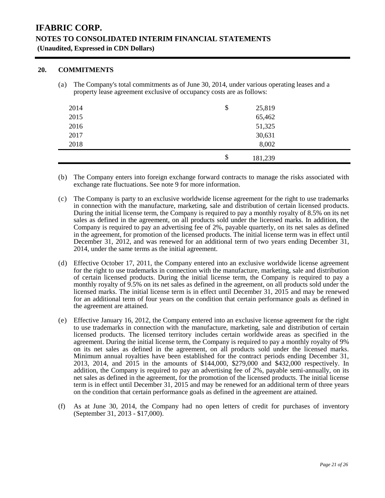### **20. COMMITMENTS**

(a) The Company's total commitments as of June 30, 2014, under various operating leases and a property lease agreement exclusive of occupancy costs are as follows:

| 2014 | \$<br>25,819  |
|------|---------------|
| 2015 | 65,462        |
| 2016 | 51,325        |
| 2017 | 30,631        |
| 2018 | 8,002         |
|      | \$<br>181,239 |

- (b) The Company enters into foreign exchange forward contracts to manage the risks associated with exchange rate fluctuations. See note 9 for more information.
- (c) The Company is party to an exclusive worldwide license agreement for the right to use trademarks in connection with the manufacture, marketing, sale and distribution of certain licensed products. During the initial license term, the Company is required to pay a monthly royalty of 8.5% on its net sales as defined in the agreement, on all products sold under the licensed marks. In addition, the Company is required to pay an advertising fee of 2%, payable quarterly, on its net sales as defined in the agreement, for promotion of the licensed products. The initial license term was in effect until December 31, 2012, and was renewed for an additional term of two years ending December 31, 2014, under the same terms as the initial agreement.
- (d) Effective October 17, 2011, the Company entered into an exclusive worldwide license agreement for the right to use trademarks in connection with the manufacture, marketing, sale and distribution of certain licensed products. During the initial license term, the Company is required to pay a monthly royalty of 9.5% on its net sales as defined in the agreement, on all products sold under the licensed marks. The initial license term is in effect until December 31, 2015 and may be renewed for an additional term of four years on the condition that certain performance goals as defined in the agreement are attained.
- (e) Effective January 16, 2012, the Company entered into an exclusive license agreement for the right to use trademarks in connection with the manufacture, marketing, sale and distribution of certain licensed products. The licensed territory includes certain worldwide areas as specified in the agreement. During the initial license term, the Company is required to pay a monthly royalty of 9% on its net sales as defined in the agreement, on all products sold under the licensed marks. Minimum annual royalties have been established for the contract periods ending December 31, 2013, 2014, and 2015 in the amounts of \$144,000, \$279,000 and \$432,000 respectively. In addition, the Company is required to pay an advertising fee of 2%, payable semi-annually, on its net sales as defined in the agreement, for the promotion of the licensed products. The initial license term is in effect until December 31, 2015 and may be renewed for an additional term of three years on the condition that certain performance goals as defined in the agreement are attained.
- (f) As at June 30, 2014, the Company had no open letters of credit for purchases of inventory (September 31, 2013 - \$17,000).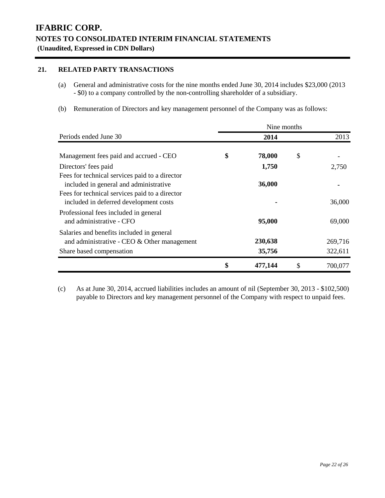# **21. RELATED PARTY TRANSACTIONS**

- (a) General and administrative costs for the nine months ended June 30, 2014 includes \$23,000 (2013 - \$0) to a company controlled by the non-controlling shareholder of a subsidiary.
- (b) Remuneration of Directors and key management personnel of the Company was as follows:

|                                                                                                                                                                                      | Nine months |                   |    |                    |  |  |  |
|--------------------------------------------------------------------------------------------------------------------------------------------------------------------------------------|-------------|-------------------|----|--------------------|--|--|--|
| Periods ended June 30                                                                                                                                                                |             | 2014              |    | 2013               |  |  |  |
| Management fees paid and accrued - CEO                                                                                                                                               | \$          | 78,000            | \$ |                    |  |  |  |
| Directors' fees paid                                                                                                                                                                 |             | 1,750             |    | 2,750              |  |  |  |
| Fees for technical services paid to a director<br>included in general and administrative<br>Fees for technical services paid to a director<br>included in deferred development costs |             | 36,000            |    | 36,000             |  |  |  |
| Professional fees included in general<br>and administrative - CFO                                                                                                                    |             | 95,000            |    | 69,000             |  |  |  |
| Salaries and benefits included in general<br>and administrative - CEO & Other management<br>Share based compensation                                                                 |             | 230,638<br>35,756 |    | 269,716<br>322,611 |  |  |  |
|                                                                                                                                                                                      | \$          | 477,144           | \$ | 700,077            |  |  |  |

(c) As at June 30, 2014, accrued liabilities includes an amount of nil (September 30, 2013 - \$102,500) payable to Directors and key management personnel of the Company with respect to unpaid fees.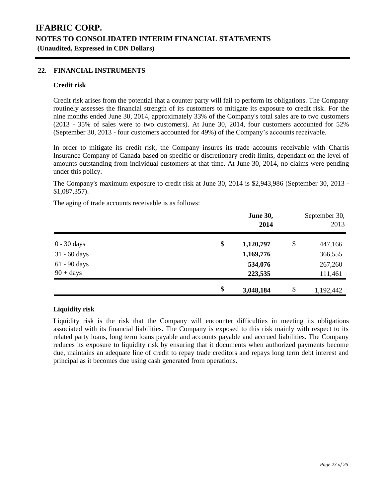### **22. FINANCIAL INSTRUMENTS**

### **Credit risk**

Credit risk arises from the potential that a counter party will fail to perform its obligations. The Company routinely assesses the financial strength of its customers to mitigate its exposure to credit risk. For the nine months ended June 30, 2014, approximately 33% of the Company's total sales are to two customers (2013 - 35% of sales were to two customers). At June 30, 2014, four customers accounted for 52% (September 30, 2013 - four customers accounted for 49%) of the Company's accounts receivable.

In order to mitigate its credit risk, the Company insures its trade accounts receivable with Chartis Insurance Company of Canada based on specific or discretionary credit limits, dependant on the level of amounts outstanding from individual customers at that time. At June 30, 2014, no claims were pending under this policy.

The Company's maximum exposure to credit risk at June 30, 2014 is \$2,943,986 (September 30, 2013 - \$1,087,357).

The aging of trade accounts receivable is as follows:

|                | <b>June 30,</b><br>2014 | September 30,<br>2013 |
|----------------|-------------------------|-----------------------|
| 0 - 30 days    | \$<br>1,120,797         | \$<br>447,166         |
| $31 - 60$ days | 1,169,776               | 366,555               |
| 61 - 90 days   | 534,076                 | 267,260               |
| $90 + days$    | 223,535                 | 111,461               |
|                | \$<br>3,048,184         | \$<br>1,192,442       |

## **Liquidity risk**

Liquidity risk is the risk that the Company will encounter difficulties in meeting its obligations associated with its financial liabilities. The Company is exposed to this risk mainly with respect to its related party loans, long term loans payable and accounts payable and accrued liabilities. The Company reduces its exposure to liquidity risk by ensuring that it documents when authorized payments become due, maintains an adequate line of credit to repay trade creditors and repays long term debt interest and principal as it becomes due using cash generated from operations.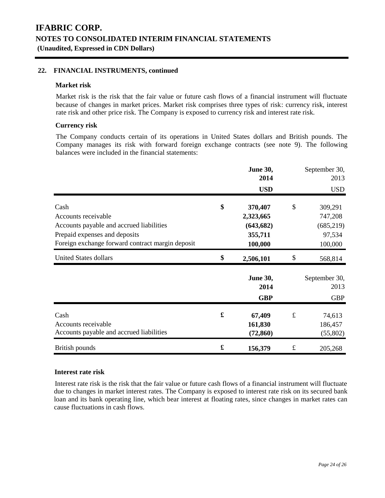### **22. FINANCIAL INSTRUMENTS, continued**

### **Market risk**

Market risk is the risk that the fair value or future cash flows of a financial instrument will fluctuate because of changes in market prices. Market risk comprises three types of risk: currency risk, interest rate risk and other price risk. The Company is exposed to currency risk and interest rate risk.

### **Currency risk**

The Company conducts certain of its operations in United States dollars and British pounds. The Company manages its risk with forward foreign exchange contracts (see note 9). The following balances were included in the financial statements:

|                                                  |    | <b>June 30,</b><br>2014 |           | September 30,<br>2013 |
|--------------------------------------------------|----|-------------------------|-----------|-----------------------|
|                                                  |    | <b>USD</b>              |           | <b>USD</b>            |
| Cash                                             | \$ | 370,407                 | \$        | 309,291               |
| Accounts receivable                              |    | 2,323,665               |           | 747,208               |
| Accounts payable and accrued liabilities         |    | (643, 682)              |           | (685, 219)            |
| Prepaid expenses and deposits                    |    | 355,711                 |           | 97,534                |
| Foreign exchange forward contract margin deposit |    | 100,000                 |           | 100,000               |
| <b>United States dollars</b>                     | \$ | 2,506,101               | \$        | 568,814               |
|                                                  |    | <b>June 30,</b>         |           | September 30,         |
|                                                  |    | 2014                    |           | 2013                  |
|                                                  |    | <b>GBP</b>              |           | <b>GBP</b>            |
| Cash                                             | £  | 67,409                  | $\pounds$ | 74,613                |
| Accounts receivable                              |    | 161,830                 |           | 186,457               |
| Accounts payable and accrued liabilities         |    | (72, 860)               |           | (55,802)              |
| British pounds                                   | £  | 156,379                 | $\pounds$ | 205,268               |

### **Interest rate risk**

Interest rate risk is the risk that the fair value or future cash flows of a financial instrument will fluctuate due to changes in market interest rates. The Company is exposed to interest rate risk on its secured bank loan and its bank operating line, which bear interest at floating rates, since changes in market rates can cause fluctuations in cash flows.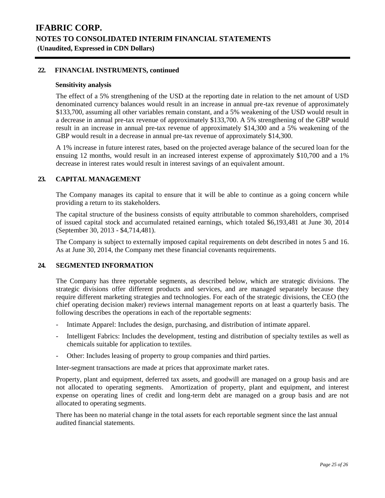### **22. FINANCIAL INSTRUMENTS, continued**

### **Sensitivity analysis**

The effect of a 5% strengthening of the USD at the reporting date in relation to the net amount of USD denominated currency balances would result in an increase in annual pre-tax revenue of approximately \$133,700, assuming all other variables remain constant, and a 5% weakening of the USD would result in a decrease in annual pre-tax revenue of approximately \$133,700. A 5% strengthening of the GBP would result in an increase in annual pre-tax revenue of approximately \$14,300 and a 5% weakening of the GBP would result in a decrease in annual pre-tax revenue of approximately \$14,300.

A 1% increase in future interest rates, based on the projected average balance of the secured loan for the ensuing 12 months, would result in an increased interest expense of approximately \$10,700 and a 1% decrease in interest rates would result in interest savings of an equivalent amount.

### **23. CAPITAL MANAGEMENT**

The Company manages its capital to ensure that it will be able to continue as a going concern while providing a return to its stakeholders.

The capital structure of the business consists of equity attributable to common shareholders, comprised of issued capital stock and accumulated retained earnings, which totaled \$6,193,481 at June 30, 2014 (September 30, 2013 - \$4,714,481).

The Company is subject to externally imposed capital requirements on debt described in notes 5 and 16. As at June 30, 2014, the Company met these financial covenants requirements.

### **24. SEGMENTED INFORMATION**

The Company has three reportable segments, as described below, which are strategic divisions. The strategic divisions offer different products and services, and are managed separately because they require different marketing strategies and technologies. For each of the strategic divisions, the CEO (the chief operating decision maker) reviews internal management reports on at least a quarterly basis. The following describes the operations in each of the reportable segments:

- Intimate Apparel: Includes the design, purchasing, and distribution of intimate apparel.
- Intelligent Fabrics: Includes the development, testing and distribution of specialty textiles as well as chemicals suitable for application to textiles.
- Other: Includes leasing of property to group companies and third parties.

Inter-segment transactions are made at prices that approximate market rates.

Property, plant and equipment, deferred tax assets, and goodwill are managed on a group basis and are not allocated to operating segments. Amortization of property, plant and equipment, and interest expense on operating lines of credit and long-term debt are managed on a group basis and are not allocated to operating segments.

There has been no material change in the total assets for each reportable segment since the last annual audited financial statements.